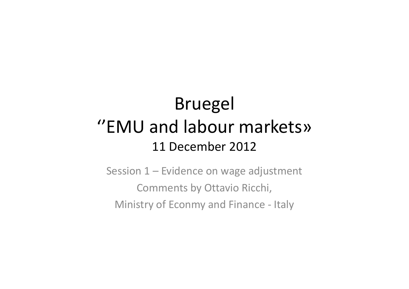#### Bruegel''EMU and labour markets»11 December 2012

Session 1 – Evidence on wage adjustment Comments by Ottavio Ricchi, Ministry of Econmy and Finance - Italy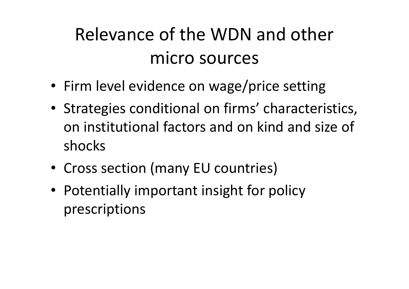#### Relevance of the WDN and other micro sources

- Firm level evidence on wage/price setting
- Strategies conditional on firms' characteristics, on institutional factors and on kind and size of shocks
- Cross section (many EU countries)
- Potentially important insight for policy prescriptions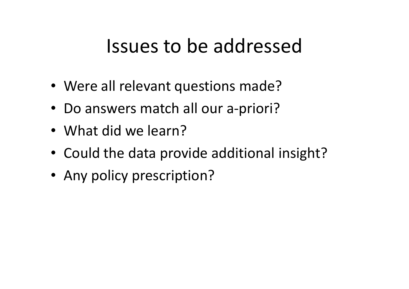#### Issues to be addressed

- Were all relevant questions made?
- Do answers match all our a-priori?
- What did we learn?
- Could the data provide additional insight?
- Any policy prescription?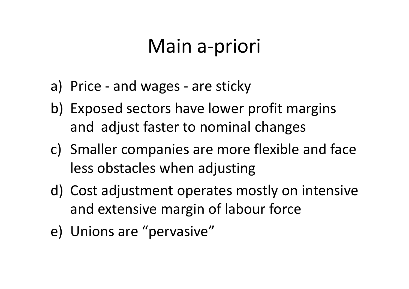## Main a-priori

- a) Price and wages are sticky
- b) Exposed sectors have lower profit margins and adjust faster to nominal changes
- c) Smaller companies are more flexible and face less obstacles when adjusting
- d) Cost adjustment operates mostly on intensive and extensive margin of labour force
- e) Unions are "pervasive"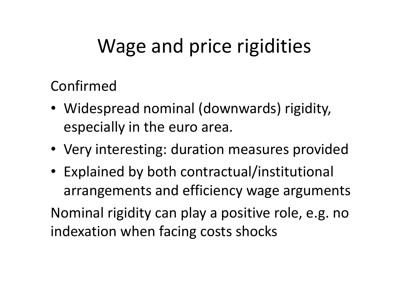# Wage and price rigidities

Confirmed

- Widespread nominal (downwards) rigidity, especially in the euro area.
- Very interesting: duration measures provided
- Explained by both contractual/institutional arrangements and efficiency wage argumentsNominal rigidity can play a positive role, e.g. no indexation when facing costs shocks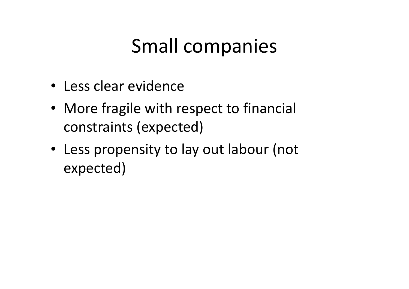# Small companies

- Less clear evidence
- More fragile with respect to financial constraints (expected)
- Less propensity to lay out labour (not expected)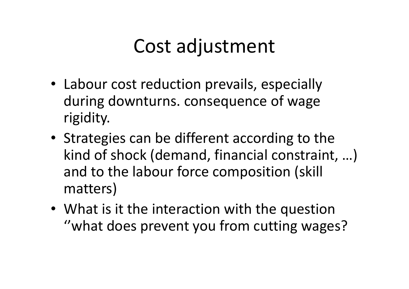## Cost adjustment

- Labour cost reduction prevails, especially during downturns. consequence of wage rigidity.
- Strategies can be different according to the kind of shock (demand, financial constraint, …) and to the labour force composition (skill matters)
- What is it the interaction with the question ''what does prevent you from cutting wages?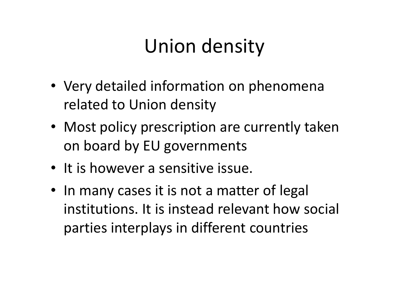# Union density

- Very detailed information on phenomena related to Union density
- Most policy prescription are currently taken on board by EU governments
- It is however a sensitive issue.
- In many cases it is not a matter of legal institutions. It is instead relevant how social parties interplays in different countries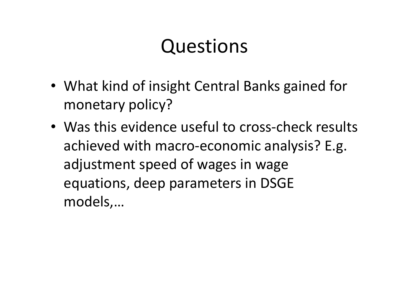## Questions

- What kind of insight Central Banks gained for monetary policy?
- Was this evidence useful to cross-check results achieved with macro-economic analysis? E.g. adjustment speed of wages in wage equations, deep parameters in DSGE models,…